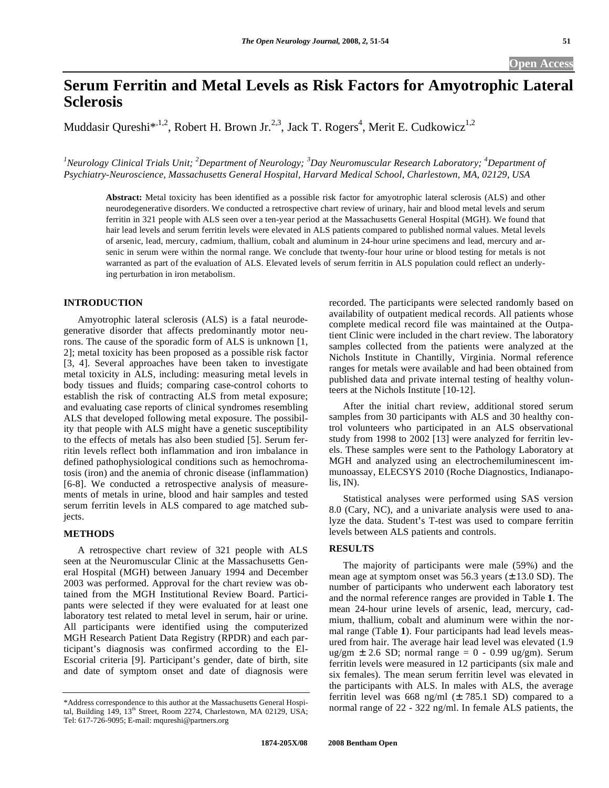# **Serum Ferritin and Metal Levels as Risk Factors for Amyotrophic Lateral Sclerosis**

Muddasir Qureshi\*,<sup>1,2</sup>, Robert H. Brown Jr.<sup>2,3</sup>, Jack T. Rogers<sup>4</sup>, Merit E. Cudkowicz<sup>1,2</sup>

*1 Neurology Clinical Trials Unit; <sup>2</sup> Department of Neurology; <sup>3</sup> Day Neuromuscular Research Laboratory; <sup>4</sup> Department of Psychiatry-Neuroscience, Massachusetts General Hospital, Harvard Medical School, Charlestown, MA, 02129, USA* 

**Abstract:** Metal toxicity has been identified as a possible risk factor for amyotrophic lateral sclerosis (ALS) and other neurodegenerative disorders. We conducted a retrospective chart review of urinary, hair and blood metal levels and serum ferritin in 321 people with ALS seen over a ten-year period at the Massachusetts General Hospital (MGH). We found that hair lead levels and serum ferritin levels were elevated in ALS patients compared to published normal values. Metal levels of arsenic, lead, mercury, cadmium, thallium, cobalt and aluminum in 24-hour urine specimens and lead, mercury and arsenic in serum were within the normal range. We conclude that twenty-four hour urine or blood testing for metals is not warranted as part of the evaluation of ALS. Elevated levels of serum ferritin in ALS population could reflect an underlying perturbation in iron metabolism.

# **INTRODUCTION**

 Amyotrophic lateral sclerosis (ALS) is a fatal neurodegenerative disorder that affects predominantly motor neurons. The cause of the sporadic form of ALS is unknown [1, 2]; metal toxicity has been proposed as a possible risk factor [3, 4]. Several approaches have been taken to investigate metal toxicity in ALS, including: measuring metal levels in body tissues and fluids; comparing case-control cohorts to establish the risk of contracting ALS from metal exposure; and evaluating case reports of clinical syndromes resembling ALS that developed following metal exposure. The possibility that people with ALS might have a genetic susceptibility to the effects of metals has also been studied [5]. Serum ferritin levels reflect both inflammation and iron imbalance in defined pathophysiological conditions such as hemochromatosis (iron) and the anemia of chronic disease (inflammation) [6-8]. We conducted a retrospective analysis of measurements of metals in urine, blood and hair samples and tested serum ferritin levels in ALS compared to age matched subjects.

# **METHODS**

 A retrospective chart review of 321 people with ALS seen at the Neuromuscular Clinic at the Massachusetts General Hospital (MGH) between January 1994 and December 2003 was performed. Approval for the chart review was obtained from the MGH Institutional Review Board. Participants were selected if they were evaluated for at least one laboratory test related to metal level in serum, hair or urine. All participants were identified using the computerized MGH Research Patient Data Registry (RPDR) and each participant's diagnosis was confirmed according to the El-Escorial criteria [9]. Participant's gender, date of birth, site and date of symptom onset and date of diagnosis were

recorded. The participants were selected randomly based on availability of outpatient medical records. All patients whose complete medical record file was maintained at the Outpatient Clinic were included in the chart review. The laboratory samples collected from the patients were analyzed at the Nichols Institute in Chantilly, Virginia. Normal reference ranges for metals were available and had been obtained from published data and private internal testing of healthy volunteers at the Nichols Institute [10-12].

 After the initial chart review, additional stored serum samples from 30 participants with ALS and 30 healthy control volunteers who participated in an ALS observational study from 1998 to 2002 [13] were analyzed for ferritin levels. These samples were sent to the Pathology Laboratory at MGH and analyzed using an electrochemiluminescent immunoassay, ELECSYS 2010 (Roche Diagnostics, Indianapolis, IN).

 Statistical analyses were performed using SAS version 8.0 (Cary, NC), and a univariate analysis were used to analyze the data. Student's T-test was used to compare ferritin levels between ALS patients and controls.

# **RESULTS**

 The majority of participants were male (59%) and the mean age at symptom onset was  $56.3$  years ( $\pm$  13.0 SD). The number of participants who underwent each laboratory test and the normal reference ranges are provided in Table **1**. The mean 24-hour urine levels of arsenic, lead, mercury, cadmium, thallium, cobalt and aluminum were within the normal range (Table **1**). Four participants had lead levels measured from hair. The average hair lead level was elevated (1.9 ug/gm  $\pm$  2.6 SD; normal range = 0 - 0.99 ug/gm). Serum ferritin levels were measured in 12 participants (six male and six females). The mean serum ferritin level was elevated in the participants with ALS. In males with ALS, the average ferritin level was 668 ng/ml  $(\pm 785.1 \text{ SD})$  compared to a normal range of 22 - 322 ng/ml. In female ALS patients, the

<sup>\*</sup>Address correspondence to this author at the Massachusetts General Hospital, Building 149, 13<sup>th</sup> Street, Room 2274, Charlestown, MA 02129, USA; Tel: 617-726-9095; E-mail: mqureshi@partners.org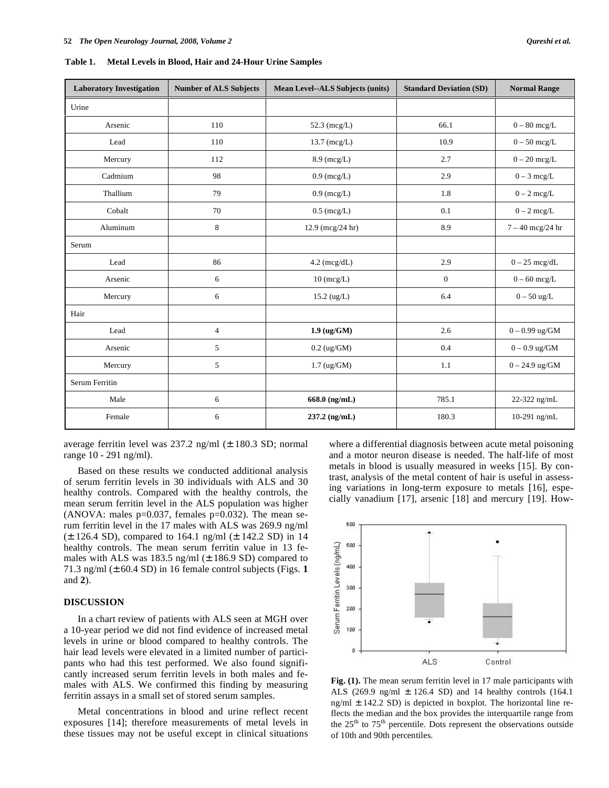| <b>Laboratory Investigation</b> | <b>Number of ALS Subjects</b> | <b>Mean Level--ALS Subjects (units)</b> | <b>Standard Deviation (SD)</b> | <b>Normal Range</b>   |
|---------------------------------|-------------------------------|-----------------------------------------|--------------------------------|-----------------------|
| Urine                           |                               |                                         |                                |                       |
| Arsenic                         | 110                           | 52.3 (mcg/L)                            | 66.1                           | $0 - 80$ mcg/L        |
| Lead                            | 110                           | $13.7 \, (mcg/L)$                       | 10.9                           | $0-50$ mcg/L          |
| Mercury                         | 112                           | $8.9$ (mcg/L)                           | 2.7                            | $0-20\;meg/L$         |
| Cadmium                         | 98                            | $0.9$ (mcg/L)                           | 2.9                            | $0 - 3 \text{ mcg/L}$ |
| Thallium                        | 79                            | $0.9$ (mcg/L)                           | 1.8                            | $0 - 2 \text{ mcg/L}$ |
| Cobalt                          | 70                            | $0.5$ (mcg/L)                           | 0.1                            | $0 - 2 \text{ mcg/L}$ |
| Aluminum                        | 8                             | $12.9$ (mcg/24 hr)                      | 8.9                            | $7 - 40$ mcg/24 hr    |
| Serum                           |                               |                                         |                                |                       |
| Lead                            | 86                            | $4.2 \text{ (mcg/dL)}$                  | 2.9                            | $0 - 25$ mcg/dL       |
| Arsenic                         | 6                             | $10$ (mcg/L)                            | $\overline{0}$                 | $0 - 60$ mcg/L        |
| Mercury                         | 6                             | $15.2 \ (ug/L)$                         | 6.4                            | $0-50$ ug/L           |
| Hair                            |                               |                                         |                                |                       |
| Lead                            | $\overline{4}$                | $1.9 \ (ug/GM)$                         | 2.6                            | $0 - 0.99$ ug/GM      |
| Arsenic                         | 5                             | $0.2 \text{ (ug/GM)}$                   | 0.4                            | $0 - 0.9$ ug/GM       |
| Mercury                         | 5                             | $1.7 \text{ (ug/GM)}$                   | 1.1                            | $0 - 24.9$ ug/GM      |
| Serum Ferritin                  |                               |                                         |                                |                       |
| Male                            | 6                             | 668.0 (ng/mL)                           | 785.1                          | 22-322 ng/mL          |
| Female                          | 6                             | $237.2$ (ng/mL)                         | 180.3                          | 10-291 ng/mL          |

**Table 1. Metal Levels in Blood, Hair and 24-Hour Urine Samples** 

average ferritin level was 237.2 ng/ml (± 180.3 SD; normal range 10 - 291 ng/ml).

 Based on these results we conducted additional analysis of serum ferritin levels in 30 individuals with ALS and 30 healthy controls. Compared with the healthy controls, the mean serum ferritin level in the ALS population was higher (ANOVA: males  $p=0.037$ , females  $p=0.032$ ). The mean serum ferritin level in the 17 males with ALS was 269.9 ng/ml (± 126.4 SD), compared to 164.1 ng/ml (± 142.2 SD) in 14 healthy controls. The mean serum ferritin value in 13 females with ALS was  $183.5$  ng/ml ( $\pm$  186.9 SD) compared to 71.3 ng/ml (± 60.4 SD) in 16 female control subjects (Figs. **1** and **2**).

# **DISCUSSION**

 In a chart review of patients with ALS seen at MGH over a 10-year period we did not find evidence of increased metal levels in urine or blood compared to healthy controls. The hair lead levels were elevated in a limited number of participants who had this test performed. We also found significantly increased serum ferritin levels in both males and females with ALS. We confirmed this finding by measuring ferritin assays in a small set of stored serum samples.

 Metal concentrations in blood and urine reflect recent exposures [14]; therefore measurements of metal levels in these tissues may not be useful except in clinical situations where a differential diagnosis between acute metal poisoning and a motor neuron disease is needed. The half-life of most metals in blood is usually measured in weeks [15]. By contrast, analysis of the metal content of hair is useful in assessing variations in long-term exposure to metals [16], especially vanadium [17], arsenic [18] and mercury [19]. How-



**Fig. (1).** The mean serum ferritin level in 17 male participants with ALS (269.9 ng/ml ± 126.4 SD) and 14 healthy controls (164.1 ng/ml  $\pm$  142.2 SD) is depicted in boxplot. The horizontal line reflects the median and the box provides the interquartile range from the  $25<sup>th</sup>$  to  $75<sup>th</sup>$  percentile. Dots represent the observations outside of 10th and 90th percentiles.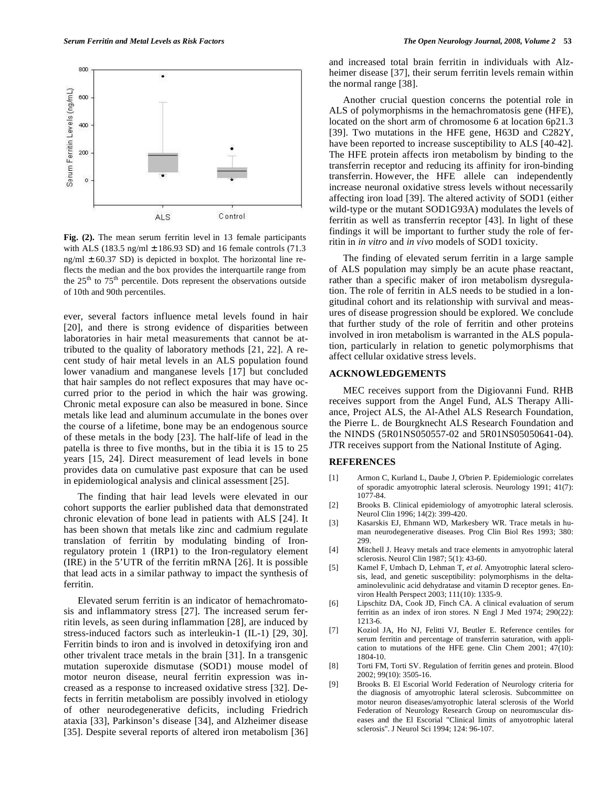

**Fig. (2).** The mean serum ferritin level in 13 female participants with ALS (183.5 ng/ml  $\pm$  186.93 SD) and 16 female controls (71.3 ng/ml  $\pm$  60.37 SD) is depicted in boxplot. The horizontal line reflects the median and the box provides the interquartile range from the  $25<sup>th</sup>$  to  $75<sup>th</sup>$  percentile. Dots represent the observations outside of 10th and 90th percentiles.

ever, several factors influence metal levels found in hair [20], and there is strong evidence of disparities between laboratories in hair metal measurements that cannot be attributed to the quality of laboratory methods [21, 22]. A recent study of hair metal levels in an ALS population found lower vanadium and manganese levels [17] but concluded that hair samples do not reflect exposures that may have occurred prior to the period in which the hair was growing. Chronic metal exposure can also be measured in bone. Since metals like lead and aluminum accumulate in the bones over the course of a lifetime, bone may be an endogenous source of these metals in the body [23]. The half-life of lead in the patella is three to five months, but in the tibia it is 15 to 25 years [15, 24]. Direct measurement of lead levels in bone provides data on cumulative past exposure that can be used in epidemiological analysis and clinical assessment [25].

 The finding that hair lead levels were elevated in our cohort supports the earlier published data that demonstrated chronic elevation of bone lead in patients with ALS [24]. It has been shown that metals like zinc and cadmium regulate translation of ferritin by modulating binding of Ironregulatory protein 1 (IRP1) to the Iron-regulatory element (IRE) in the 5'UTR of the ferritin mRNA [26]. It is possible that lead acts in a similar pathway to impact the synthesis of ferritin.

 Elevated serum ferritin is an indicator of hemachromatosis and inflammatory stress [27]. The increased serum ferritin levels, as seen during inflammation [28], are induced by stress-induced factors such as interleukin-1 (IL-1) [29, 30]. Ferritin binds to iron and is involved in detoxifying iron and other trivalent trace metals in the brain [31]. In a transgenic mutation superoxide dismutase (SOD1) mouse model of motor neuron disease, neural ferritin expression was increased as a response to increased oxidative stress [32]. Defects in ferritin metabolism are possibly involved in etiology of other neurodegenerative deficits, including Friedrich ataxia [33], Parkinson's disease [34], and Alzheimer disease [35]. Despite several reports of altered iron metabolism [36] and increased total brain ferritin in individuals with Alzheimer disease [37], their serum ferritin levels remain within the normal range [38].

 Another crucial question concerns the potential role in ALS of polymorphisms in the hemachromatosis gene (HFE), located on the short arm of chromosome 6 at location 6p21.3 [39]. Two mutations in the HFE gene, H63D and C282Y, have been reported to increase susceptibility to ALS [40-42]. The HFE protein affects iron metabolism by binding to the transferrin receptor and reducing its affinity for iron-binding transferrin. However, the HFE allele can independently increase neuronal oxidative stress levels without necessarily affecting iron load [39]. The altered activity of SOD1 (either wild-type or the mutant SOD1G93A) modulates the levels of ferritin as well as transferrin receptor [43]. In light of these findings it will be important to further study the role of ferritin in *in vitro* and *in vivo* models of SOD1 toxicity.

 The finding of elevated serum ferritin in a large sample of ALS population may simply be an acute phase reactant, rather than a specific maker of iron metabolism dysregulation. The role of ferritin in ALS needs to be studied in a longitudinal cohort and its relationship with survival and measures of disease progression should be explored. We conclude that further study of the role of ferritin and other proteins involved in iron metabolism is warranted in the ALS population, particularly in relation to genetic polymorphisms that affect cellular oxidative stress levels.

### **ACKNOWLEDGEMENTS**

 MEC receives support from the Digiovanni Fund. RHB receives support from the Angel Fund, ALS Therapy Alliance, Project ALS, the Al-Athel ALS Research Foundation, the Pierre L. de Bourgknecht ALS Research Foundation and the NINDS (5R01NS050557-02 and 5R01NS05050641-04). JTR receives support from the National Institute of Aging.

#### **REFERENCES**

- [1] Armon C, Kurland L, Daube J, O'brien P. Epidemiologic correlates of sporadic amyotrophic lateral sclerosis. Neurology 1991; 41(7): 1077-84.
- [2] Brooks B. Clinical epidemiology of amyotrophic lateral sclerosis. Neurol Clin 1996; 14(2): 399-420.
- [3] Kasarskis EJ, Ehmann WD, Markesbery WR. Trace metals in human neurodegenerative diseases. Prog Clin Biol Res 1993; 380: 299.
- [4] Mitchell J. Heavy metals and trace elements in amyotrophic lateral sclerosis. Neurol Clin 1987; 5(1): 43-60.
- [5] Kamel F, Umbach D, Lehman T, *et al*. Amyotrophic lateral sclerosis, lead, and genetic susceptibility: polymorphisms in the deltaaminolevulinic acid dehydratase and vitamin D receptor genes. Environ Health Perspect 2003; 111(10): 1335-9.
- [6] Lipschitz DA, Cook JD, Finch CA. A clinical evaluation of serum ferritin as an index of iron stores. N Engl J Med 1974; 290(22): 1213-6.
- [7] Koziol JA, Ho NJ, Felitti VJ, Beutler E. Reference centiles for serum ferritin and percentage of transferrin saturation, with application to mutations of the HFE gene. Clin Chem 2001; 47(10): 1804-10.
- [8] Torti FM, Torti SV. Regulation of ferritin genes and protein. Blood 2002; 99(10): 3505-16.
- [9] Brooks B. El Escorial World Federation of Neurology criteria for the diagnosis of amyotrophic lateral sclerosis. Subcommittee on motor neuron diseases/amyotrophic lateral sclerosis of the World Federation of Neurology Research Group on neuromuscular diseases and the El Escorial "Clinical limits of amyotrophic lateral sclerosis". J Neurol Sci 1994; 124: 96-107.